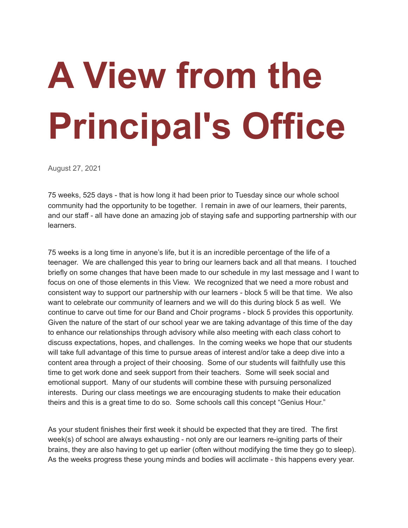## **A View from the Principal's Office**

August 27, 2021

75 weeks, 525 days - that is how long it had been prior to Tuesday since our whole school community had the opportunity to be together. I remain in awe of our learners, their parents, and our staff - all have done an amazing job of staying safe and supporting partnership with our learners.

75 weeks is a long time in anyone's life, but it is an incredible percentage of the life of a teenager. We are challenged this year to bring our learners back and all that means. I touched briefly on some changes that have been made to our schedule in my last message and I want to focus on one of those elements in this View. We recognized that we need a more robust and consistent way to support our partnership with our learners - block 5 will be that time. We also want to celebrate our community of learners and we will do this during block 5 as well. We continue to carve out time for our Band and Choir programs - block 5 provides this opportunity. Given the nature of the start of our school year we are taking advantage of this time of the day to enhance our relationships through advisory while also meeting with each class cohort to discuss expectations, hopes, and challenges. In the coming weeks we hope that our students will take full advantage of this time to pursue areas of interest and/or take a deep dive into a content area through a project of their choosing. Some of our students will faithfully use this time to get work done and seek support from their teachers. Some will seek social and emotional support. Many of our students will combine these with pursuing personalized interests. During our class meetings we are encouraging students to make their education theirs and this is a great time to do so. Some schools call this concept "Genius Hour."

As your student finishes their first week it should be expected that they are tired. The first week(s) of school are always exhausting - not only are our learners re-igniting parts of their brains, they are also having to get up earlier (often without modifying the time they go to sleep). As the weeks progress these young minds and bodies will acclimate - this happens every year.